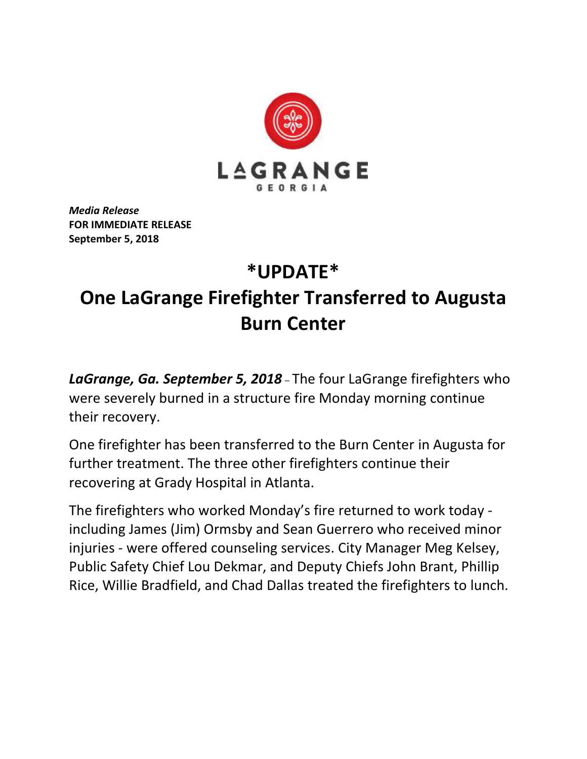

*Media Release* **FOR IMMEDIATE RELEASE September 5, 2018**

## **\*UPDATE\* One LaGrange Firefighter Transferred to Augusta Burn Center**

*LaGrange, Ga. September 5, 2018* – The four LaGrange firefighters who were severely burned in a structure fire Monday morning continue their recovery.

One firefighter has been transferred to the Burn Center in Augusta for further treatment. The three other firefighters continue their recovering at Grady Hospital in Atlanta.

The firefighters who worked Monday's fire returned to work today including James (Jim) Ormsby and Sean Guerrero who received minor injuries - were offered counseling services. City Manager Meg Kelsey, Public Safety Chief Lou Dekmar, and Deputy Chiefs John Brant, Phillip Rice, Willie Bradfield, and Chad Dallas treated the firefighters to lunch.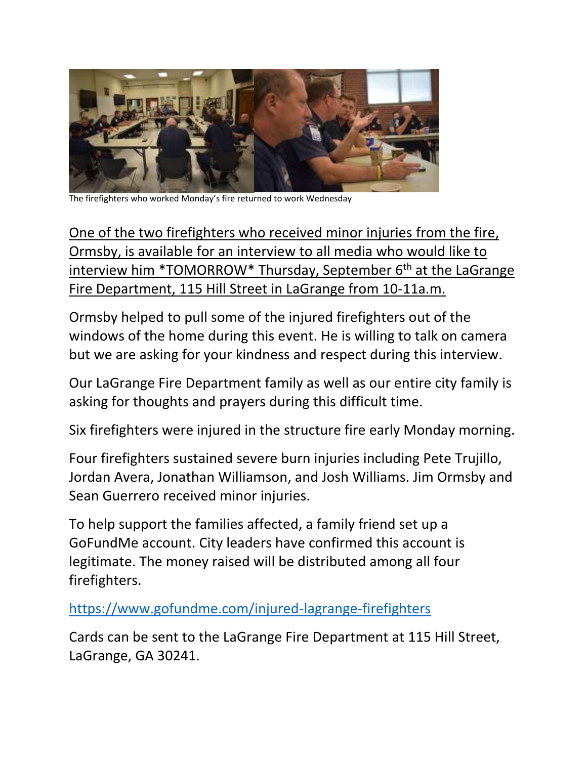

The firefighters who worked Monday's fire returned to work Wednesday

One of the two firefighters who received minor injuries from the fire, Ormsby, is available for an interview to all media who would like to interview him \*TOMORROW\* Thursday, September 6<sup>th</sup> at the LaGrange Fire Department, 115 Hill Street in LaGrange from 10-11a.m.

Ormsby helped to pull some of the injured firefighters out of the windows of the home during this event. He is willing to talk on camera but we are asking for your kindness and respect during this interview.

Our LaGrange Fire Department family as well as our entire city family is asking for thoughts and prayers during this difficult time.

Six firefighters were injured in the structure fire early Monday morning.

Four firefighters sustained severe burn injuries including Pete Trujillo, Jordan Avera, Jonathan Williamson, and Josh Williams. Jim Ormsby and Sean Guerrero received minor injuries.

To help support the families affected, a family friend set up a GoFundMe account. City leaders have confirmed this account is legitimate. The money raised will be distributed among all four firefighters.

<https://www.gofundme.com/injured-lagrange-firefighters>

Cards can be sent to the LaGrange Fire Department at 115 Hill Street, LaGrange, GA 30241.